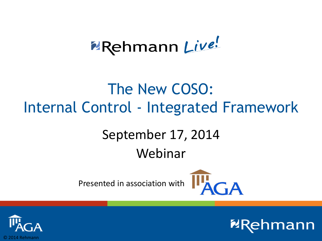# **2**Rehmann Live!

### The New COSO: Internal Control - Integrated Framework

### September 17, 2014

#### Webinar

Presented in association with



**ZRe** 

 $n$ mann

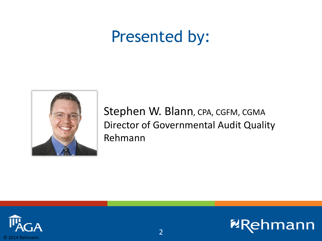### Presented by:



Stephen W. Blann, CPA, CGFM, CGMA Director of Governmental Audit Quality Rehmann



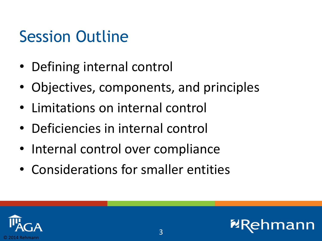### Session Outline

- Defining internal control
- Objectives, components, and principles
- Limitations on internal control
- Deficiencies in internal control
- Internal control over compliance
- Considerations for smaller entities



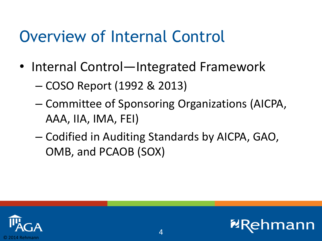### Overview of Internal Control

- Internal Control—Integrated Framework
	- COSO Report (1992 & 2013)
	- Committee of Sponsoring Organizations (AICPA, AAA, IIA, IMA, FEI)
	- Codified in Auditing Standards by AICPA, GAO, OMB, and PCAOB (SOX)

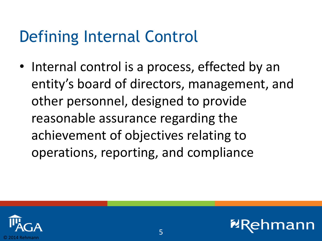• Internal control is a process, effected by an entity's board of directors, management, and other personnel, designed to provide reasonable assurance regarding the achievement of objectives relating to operations, reporting, and compliance



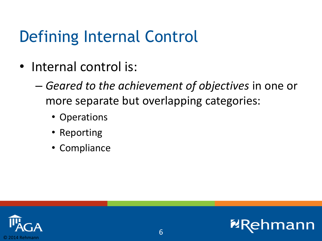- Internal control is:
	- *Geared to the achievement of objectives* in one or more separate but overlapping categories:
		- Operations
		- Reporting
		- Compliance



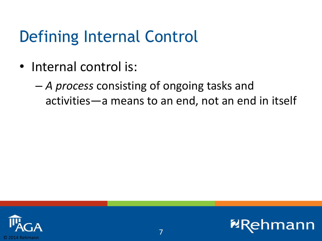• Internal control is:

– *A process* consisting of ongoing tasks and activities—a means to an end, not an end in itself



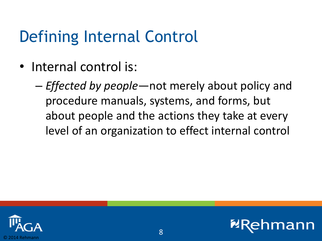- Internal control is:
	- *Effected by people*—not merely about policy and procedure manuals, systems, and forms, but about people and the actions they take at every level of an organization to effect internal control



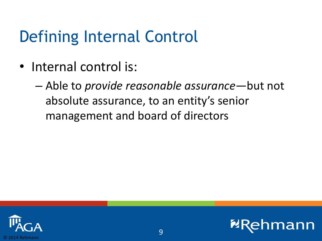- Internal control is:
	- Able to *provide reasonable assurance*—but not absolute assurance, to an entity's senior management and board of directors



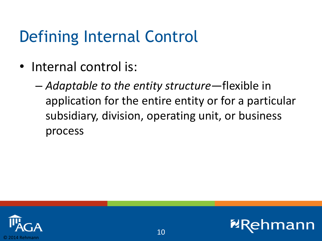• Internal control is:

– *Adaptable to the entity structure*—flexible in application for the entire entity or for a particular subsidiary, division, operating unit, or business process



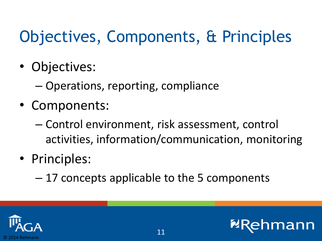## Objectives, Components, & Principles

- Objectives:
	- Operations, reporting, compliance
- Components:
	- Control environment, risk assessment, control activities, information/communication, monitoring
- Principles:
	- 17 concepts applicable to the 5 components

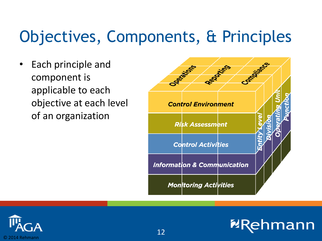## Objectives, Components, & Principles

• Each principle and component is applicable to each objective at each level of an organization



**nmann** 

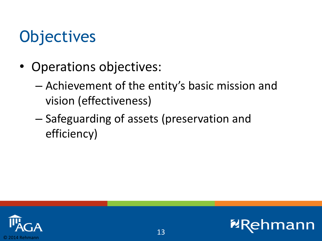## **Objectives**

- Operations objectives:
	- Achievement of the entity's basic mission and vision (effectiveness)
	- Safeguarding of assets (preservation and efficiency)



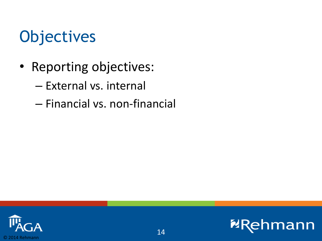### **Objectives**

- Reporting objectives:
	- External vs. internal
	- Financial vs. non-financial

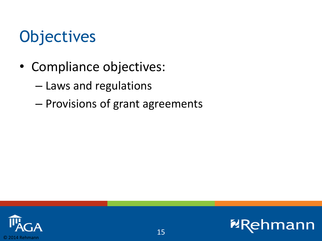## **Objectives**

- Compliance objectives:
	- Laws and regulations
	- Provisions of grant agreements



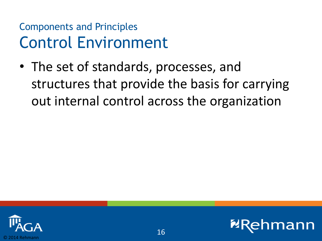• The set of standards, processes, and structures that provide the basis for carrying out internal control across the organization



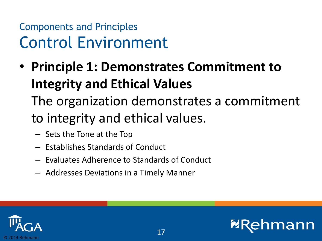• **Principle 1: Demonstrates Commitment to Integrity and Ethical Values** 

The organization demonstrates a commitment to integrity and ethical values.

- Sets the Tone at the Top
- Establishes Standards of Conduct
- Evaluates Adherence to Standards of Conduct
- Addresses Deviations in a Timely Manner

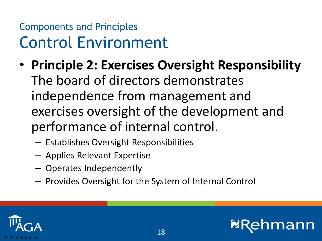- **Principle 2: Exercises Oversight Responsibility** The board of directors demonstrates independence from management and exercises oversight of the development and performance of internal control.
	- Establishes Oversight Responsibilities
	- Applies Relevant Expertise
	- Operates Independently
	- Provides Oversight for the System of Internal Control



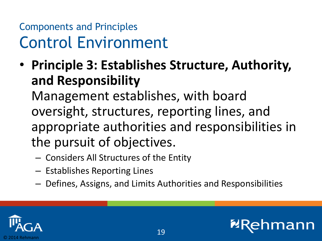• **Principle 3: Establishes Structure, Authority, and Responsibility**

Management establishes, with board oversight, structures, reporting lines, and appropriate authorities and responsibilities in the pursuit of objectives.

- Considers All Structures of the Entity
- Establishes Reporting Lines
- Defines, Assigns, and Limits Authorities and Responsibilities

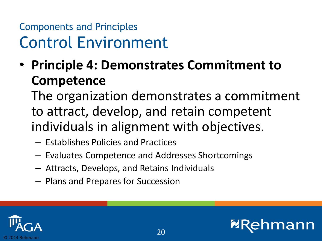• **Principle 4: Demonstrates Commitment to Competence**

The organization demonstrates a commitment to attract, develop, and retain competent individuals in alignment with objectives.

- Establishes Policies and Practices
- Evaluates Competence and Addresses Shortcomings
- Attracts, Develops, and Retains Individuals
- Plans and Prepares for Succession

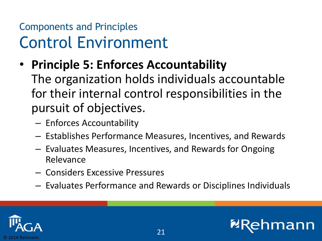• **Principle 5: Enforces Accountability**

The organization holds individuals accountable for their internal control responsibilities in the pursuit of objectives.

- Enforces Accountability
- Establishes Performance Measures, Incentives, and Rewards
- Evaluates Measures, Incentives, and Rewards for Ongoing Relevance
- Considers Excessive Pressures
- Evaluates Performance and Rewards or Disciplines Individuals

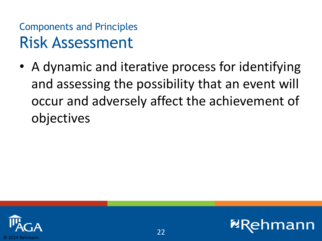• A dynamic and iterative process for identifying and assessing the possibility that an event will occur and adversely affect the achievement of objectives



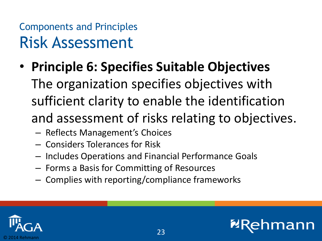- **Principle 6: Specifies Suitable Objectives** The organization specifies objectives with sufficient clarity to enable the identification and assessment of risks relating to objectives.
	- Reflects Management's Choices
	- Considers Tolerances for Risk
	- Includes Operations and Financial Performance Goals
	- Forms a Basis for Committing of Resources
	- Complies with reporting/compliance frameworks

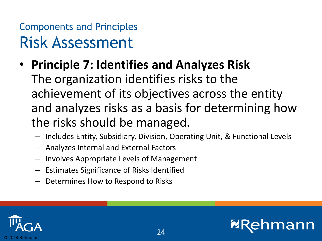- **Principle 7: Identifies and Analyzes Risk** The organization identifies risks to the achievement of its objectives across the entity and analyzes risks as a basis for determining how the risks should be managed.
	- Includes Entity, Subsidiary, Division, Operating Unit, & Functional Levels
	- Analyzes Internal and External Factors
	- Involves Appropriate Levels of Management
	- Estimates Significance of Risks Identified
	- Determines How to Respond to Risks



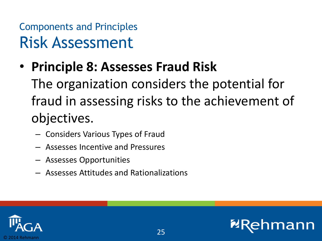• **Principle 8: Assesses Fraud Risk**

The organization considers the potential for fraud in assessing risks to the achievement of objectives.

- Considers Various Types of Fraud
- Assesses Incentive and Pressures
- Assesses Opportunities
- Assesses Attitudes and Rationalizations



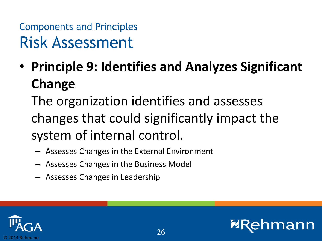• **Principle 9: Identifies and Analyzes Significant Change**

The organization identifies and assesses changes that could significantly impact the system of internal control.

- Assesses Changes in the External Environment
- Assesses Changes in the Business Model
- Assesses Changes in Leadership



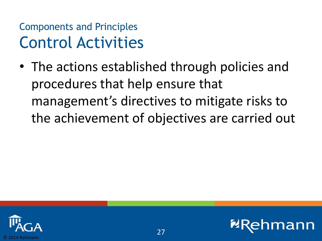• The actions established through policies and procedures that help ensure that management's directives to mitigate risks to the achievement of objectives are carried out

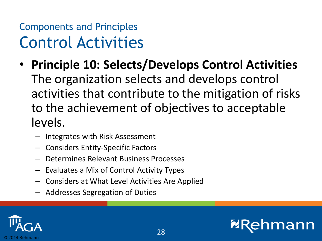- **Principle 10: Selects/Develops Control Activities** The organization selects and develops control activities that contribute to the mitigation of risks to the achievement of objectives to acceptable levels.
	- Integrates with Risk Assessment
	- Considers Entity-Specific Factors
	- Determines Relevant Business Processes
	- Evaluates a Mix of Control Activity Types
	- Considers at What Level Activities Are Applied
	- Addresses Segregation of Duties

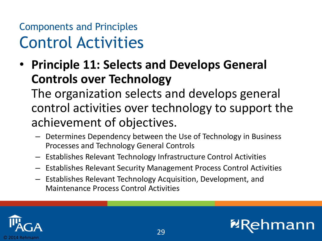• **Principle 11: Selects and Develops General Controls over Technology**

The organization selects and develops general control activities over technology to support the achievement of objectives.

- Determines Dependency between the Use of Technology in Business Processes and Technology General Controls
- Establishes Relevant Technology Infrastructure Control Activities
- Establishes Relevant Security Management Process Control Activities
- Establishes Relevant Technology Acquisition, Development, and Maintenance Process Control Activities



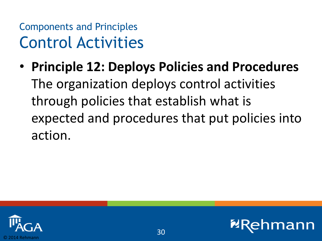• **Principle 12: Deploys Policies and Procedures** The organization deploys control activities through policies that establish what is expected and procedures that put policies into action.



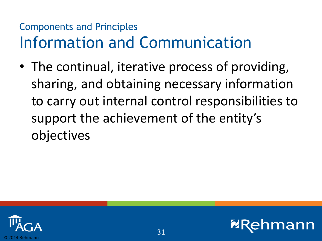• The continual, iterative process of providing, sharing, and obtaining necessary information to carry out internal control responsibilities to support the achievement of the entity's objectives

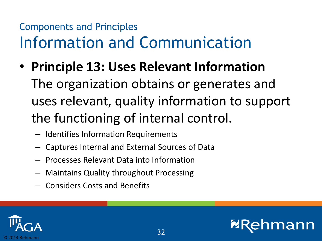- **Principle 13: Uses Relevant Information** The organization obtains or generates and uses relevant, quality information to support the functioning of internal control.
	- Identifies Information Requirements
	- Captures Internal and External Sources of Data
	- Processes Relevant Data into Information
	- Maintains Quality throughout Processing
	- Considers Costs and Benefits

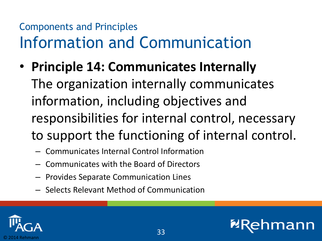- **Principle 14: Communicates Internally** The organization internally communicates information, including objectives and responsibilities for internal control, necessary to support the functioning of internal control.
	- Communicates Internal Control Information
	- Communicates with the Board of Directors
	- Provides Separate Communication Lines
	- Selects Relevant Method of Communication

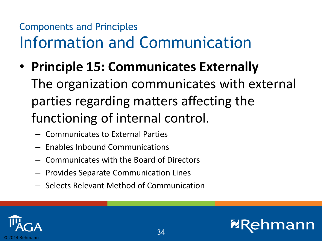- **Principle 15: Communicates Externally** The organization communicates with external parties regarding matters affecting the functioning of internal control.
	- Communicates to External Parties
	- Enables Inbound Communications
	- Communicates with the Board of Directors
	- Provides Separate Communication Lines
	- Selects Relevant Method of Communication



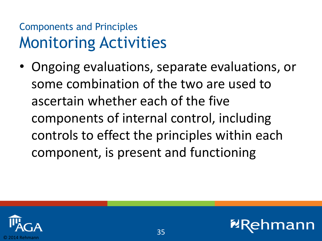#### Components and Principles Monitoring Activities

• Ongoing evaluations, separate evaluations, or some combination of the two are used to ascertain whether each of the five components of internal control, including controls to effect the principles within each component, is present and functioning

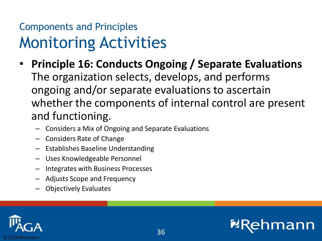#### Components and Principles Monitoring Activities

- **Principle 16: Conducts Ongoing / Separate Evaluations** The organization selects, develops, and performs ongoing and/or separate evaluations to ascertain whether the components of internal control are present and functioning.
	- Considers a Mix of Ongoing and Separate Evaluations
	- Considers Rate of Change
	- Establishes Baseline Understanding
	- Uses Knowledgeable Personnel
	- Integrates with Business Processes
	- Adjusts Scope and Frequency
	- Objectively Evaluates



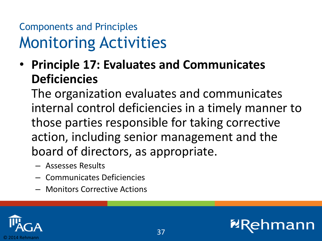#### Components and Principles Monitoring Activities

• **Principle 17: Evaluates and Communicates Deficiencies**

The organization evaluates and communicates internal control deficiencies in a timely manner to those parties responsible for taking corrective action, including senior management and the board of directors, as appropriate.

- Assesses Results
- Communicates Deficiencies
- Monitors Corrective Actions

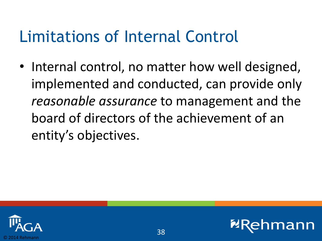### Limitations of Internal Control

• Internal control, no matter how well designed, implemented and conducted, can provide only *reasonable assurance* to management and the board of directors of the achievement of an entity's objectives.



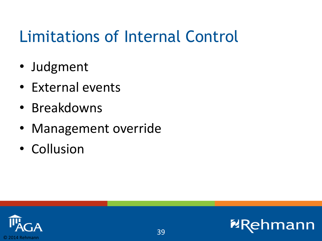## Limitations of Internal Control

- Judgment
- External events
- Breakdowns
- Management override
- Collusion

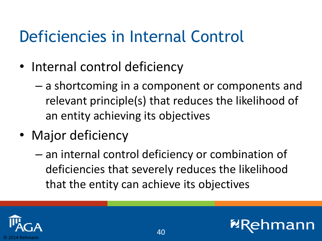### Deficiencies in Internal Control

- Internal control deficiency
	- a shortcoming in a component or components and relevant principle(s) that reduces the likelihood of an entity achieving its objectives
- Major deficiency
	- an internal control deficiency or combination of deficiencies that severely reduces the likelihood that the entity can achieve its objectives



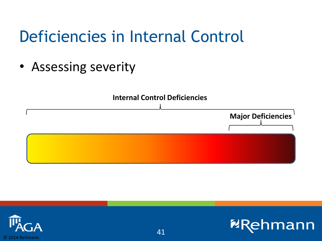### Deficiencies in Internal Control

• Assessing severity





**NR** 

**Imann**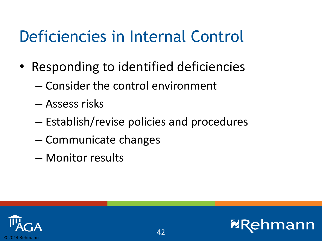### Deficiencies in Internal Control

- Responding to identified deficiencies
	- Consider the control environment
	- Assess risks
	- Establish/revise policies and procedures
	- Communicate changes
	- Monitor results

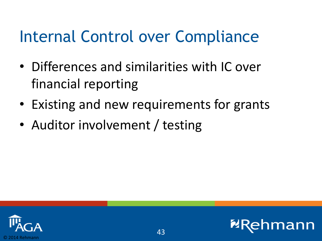- Differences and similarities with IC over financial reporting
- Existing and new requirements for grants
- Auditor involvement / testing



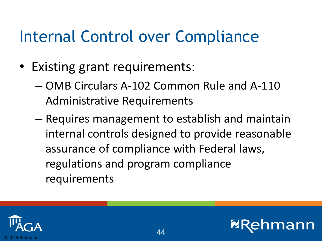- Existing grant requirements:
	- OMB Circulars A-102 Common Rule and A-110 Administrative Requirements
	- Requires management to establish and maintain internal controls designed to provide reasonable assurance of compliance with Federal laws, regulations and program compliance requirements



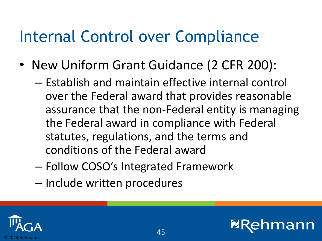- New Uniform Grant Guidance (2 CFR 200):
	- Establish and maintain effective internal control over the Federal award that provides reasonable assurance that the non-Federal entity is managing the Federal award in compliance with Federal statutes, regulations, and the terms and conditions of the Federal award
	- Follow COSO's Integrated Framework
	- Include written procedures



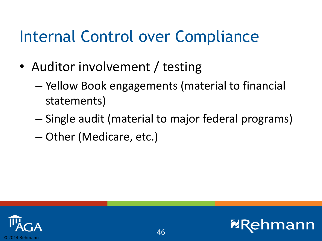- Auditor involvement / testing
	- Yellow Book engagements (material to financial statements)
	- Single audit (material to major federal programs)
	- Other (Medicare, etc.)



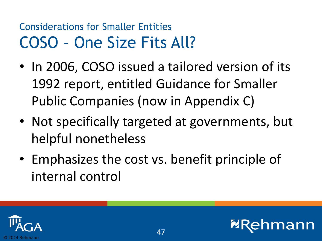#### Considerations for Smaller Entities COSO – One Size Fits All?

- In 2006, COSO issued a tailored version of its 1992 report, entitled Guidance for Smaller Public Companies (now in Appendix C)
- Not specifically targeted at governments, but helpful nonetheless
- Emphasizes the cost vs. benefit principle of internal control



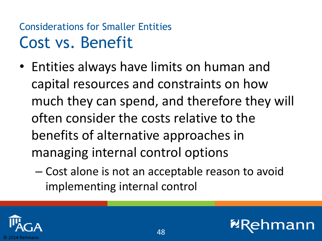#### Considerations for Smaller Entities Cost vs. Benefit

- Entities always have limits on human and capital resources and constraints on how much they can spend, and therefore they will often consider the costs relative to the benefits of alternative approaches in managing internal control options
	- Cost alone is not an acceptable reason to avoid implementing internal control



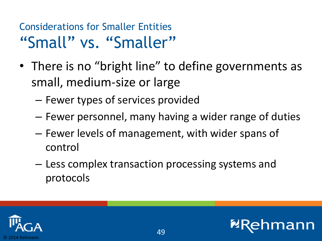#### Considerations for Smaller Entities "Small" vs. "Smaller"

- There is no "bright line" to define governments as small, medium-size or large
	- Fewer types of services provided
	- Fewer personnel, many having a wider range of duties
	- Fewer levels of management, with wider spans of control
	- Less complex transaction processing systems and protocols



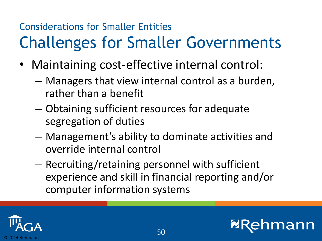### Considerations for Smaller Entities Challenges for Smaller Governments

- Maintaining cost-effective internal control:
	- Managers that view internal control as a burden, rather than a benefit
	- Obtaining sufficient resources for adequate segregation of duties
	- Management's ability to dominate activities and override internal control
	- Recruiting/retaining personnel with sufficient experience and skill in financial reporting and/or computer information systems

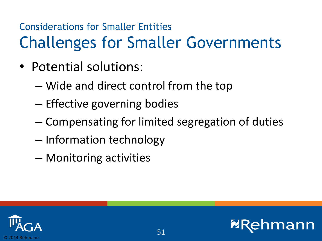### Considerations for Smaller Entities Challenges for Smaller Governments

- Potential solutions:
	- Wide and direct control from the top
	- Effective governing bodies
	- Compensating for limited segregation of duties
	- Information technology
	- Monitoring activities

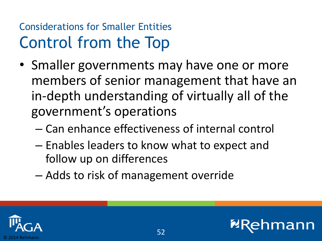#### Considerations for Smaller Entities Control from the Top

- Smaller governments may have one or more members of senior management that have an in-depth understanding of virtually all of the government's operations
	- Can enhance effectiveness of internal control
	- Enables leaders to know what to expect and follow up on differences
	- Adds to risk of management override



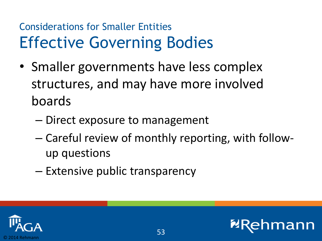#### Considerations for Smaller Entities Effective Governing Bodies

- Smaller governments have less complex structures, and may have more involved boards
	- Direct exposure to management
	- Careful review of monthly reporting, with followup questions
	- Extensive public transparency



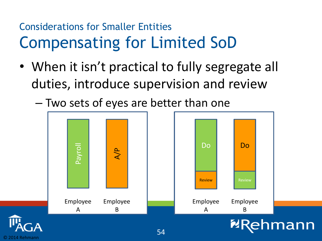#### Considerations for Smaller Entities Compensating for Limited SoD

- When it isn't practical to fully segregate all duties, introduce supervision and review
	- Two sets of eyes are better than one

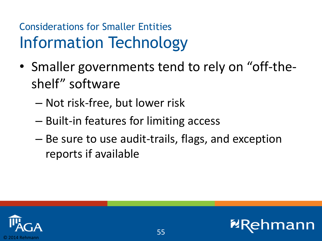#### Considerations for Smaller Entities Information Technology

- Smaller governments tend to rely on "off-theshelf" software
	- Not risk-free, but lower risk
	- Built-in features for limiting access
	- Be sure to use audit-trails, flags, and exception reports if available



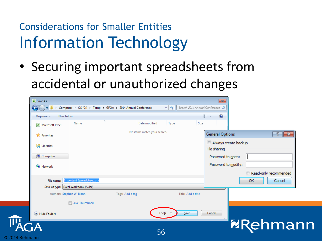#### Considerations for Smaller Entities Information Technology

• Securing important spreadsheets from accidental or unauthorized changes

| <b>X</b> Save As                            |                                                             |                             |                                                                    | $\mathbf{x}$                         |                       |
|---------------------------------------------|-------------------------------------------------------------|-----------------------------|--------------------------------------------------------------------|--------------------------------------|-----------------------|
| $\bigodot$                                  | > Computer > OS (C:) > Temp > GFOA > 2014 Annual Conference |                             | $\bullet$ $\bullet$ $\bullet$ Search 2014 Annual Conference $\rho$ |                                      |                       |
| New folder<br>Organize $\blacktriangledown$ |                                                             |                             |                                                                    | $\circledcirc$<br>888 ▼              |                       |
| <b>X</b> Microsoft Excel                    | Name                                                        | Date modified               | Type<br>Size                                                       |                                      |                       |
| <b>X</b> Favorites                          |                                                             | No items match your search. |                                                                    | <b>General Options</b>               | $\sqrt{3}$<br>$\ x\ $ |
| Libraries                                   |                                                             |                             |                                                                    | Always create backup<br>File sharing |                       |
| Computer                                    |                                                             |                             |                                                                    | Password to open:                    |                       |
| <b>G</b> Network                            |                                                             |                             |                                                                    | Password to modify:                  |                       |
|                                             |                                                             |                             |                                                                    |                                      | Read-only recommended |
| File name:                                  | <b>Important Spreadsheet.xlsx</b>                           |                             |                                                                    |                                      | OK<br>Cancel          |
|                                             | Save as type: Excel Workbook (*.xlsx)                       |                             |                                                                    |                                      |                       |
| Authors: Stephen W. Blann                   |                                                             | Tags: Add a tag             | Title: Add a title                                                 |                                      |                       |
|                                             | Save Thumbnail                                              |                             |                                                                    |                                      |                       |
| Hide Folders                                |                                                             |                             | Tools $\star$<br>Save                                              | Cancel                               |                       |
| GA                                          |                                                             |                             |                                                                    |                                      | <b>ERehman</b>        |
|                                             |                                                             | 56                          |                                                                    |                                      |                       |
| © 2014 Rehmann                              |                                                             |                             |                                                                    |                                      |                       |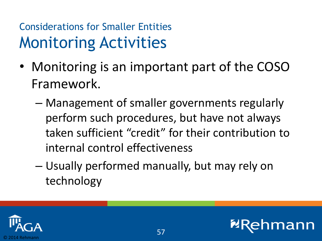#### Considerations for Smaller Entities Monitoring Activities

- Monitoring is an important part of the COSO Framework.
	- Management of smaller governments regularly perform such procedures, but have not always taken sufficient "credit" for their contribution to internal control effectiveness
	- Usually performed manually, but may rely on technology



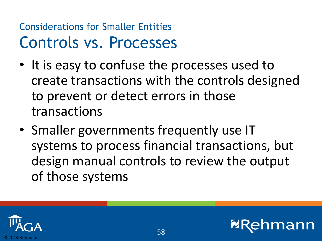#### Considerations for Smaller Entities Controls vs. Processes

- It is easy to confuse the processes used to create transactions with the controls designed to prevent or detect errors in those transactions
- Smaller governments frequently use IT systems to process financial transactions, but design manual controls to review the output of those systems



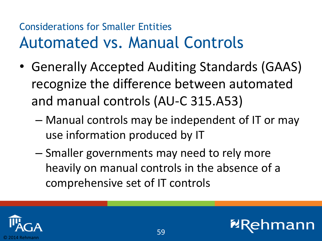#### Considerations for Smaller Entities Automated vs. Manual Controls

- Generally Accepted Auditing Standards (GAAS) recognize the difference between automated and manual controls (AU-C 315.A53)
	- Manual controls may be independent of IT or may use information produced by IT
	- Smaller governments may need to rely more heavily on manual controls in the absence of a comprehensive set of IT controls



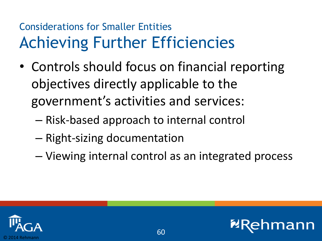#### Considerations for Smaller Entities Achieving Further Efficiencies

- Controls should focus on financial reporting objectives directly applicable to the government's activities and services:
	- Risk-based approach to internal control
	- Right-sizing documentation
	- Viewing internal control as an integrated process

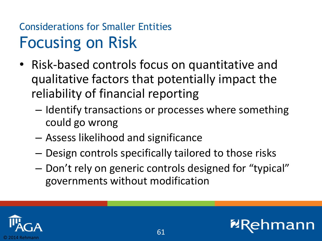#### Considerations for Smaller Entities Focusing on Risk

- Risk-based controls focus on quantitative and qualitative factors that potentially impact the reliability of financial reporting
	- Identify transactions or processes where something could go wrong
	- Assess likelihood and significance
	- Design controls specifically tailored to those risks
	- Don't rely on generic controls designed for "typical" governments without modification

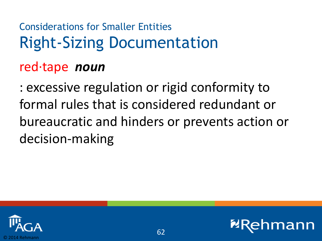### Considerations for Smaller Entities Right-Sizing Documentation

#### red·tape *noun*

: excessive regulation or rigid conformity to formal rules that is considered redundant or bureaucratic and hinders or prevents action or decision-making



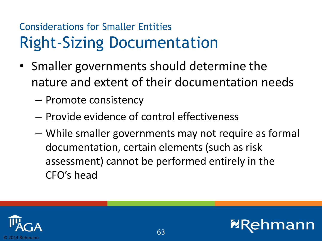#### Considerations for Smaller Entities Right-Sizing Documentation

- Smaller governments should determine the nature and extent of their documentation needs
	- Promote consistency
	- Provide evidence of control effectiveness
	- While smaller governments may not require as formal documentation, certain elements (such as risk assessment) cannot be performed entirely in the CFO's head



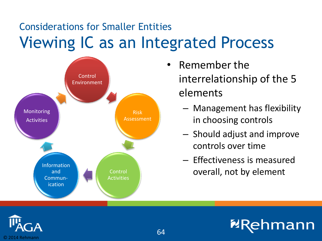#### Considerations for Smaller Entities Viewing IC as an Integrated Process



- Remember the interrelationship of the 5 elements
	- Management has flexibility in choosing controls
	- Should adjust and improve controls over time
	- Effectiveness is measured overall, not by element

**mann** 

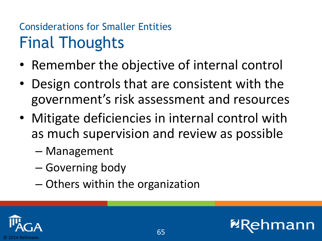#### Considerations for Smaller Entities Final Thoughts

- Remember the objective of internal control
- Design controls that are consistent with the government's risk assessment and resources
- Mitigate deficiencies in internal control with as much supervision and review as possible

65

- Management
- Governing body
- Others within the organization



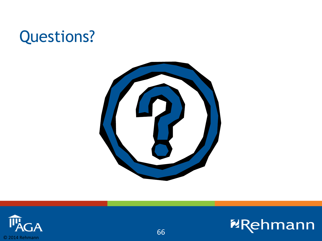### Questions?